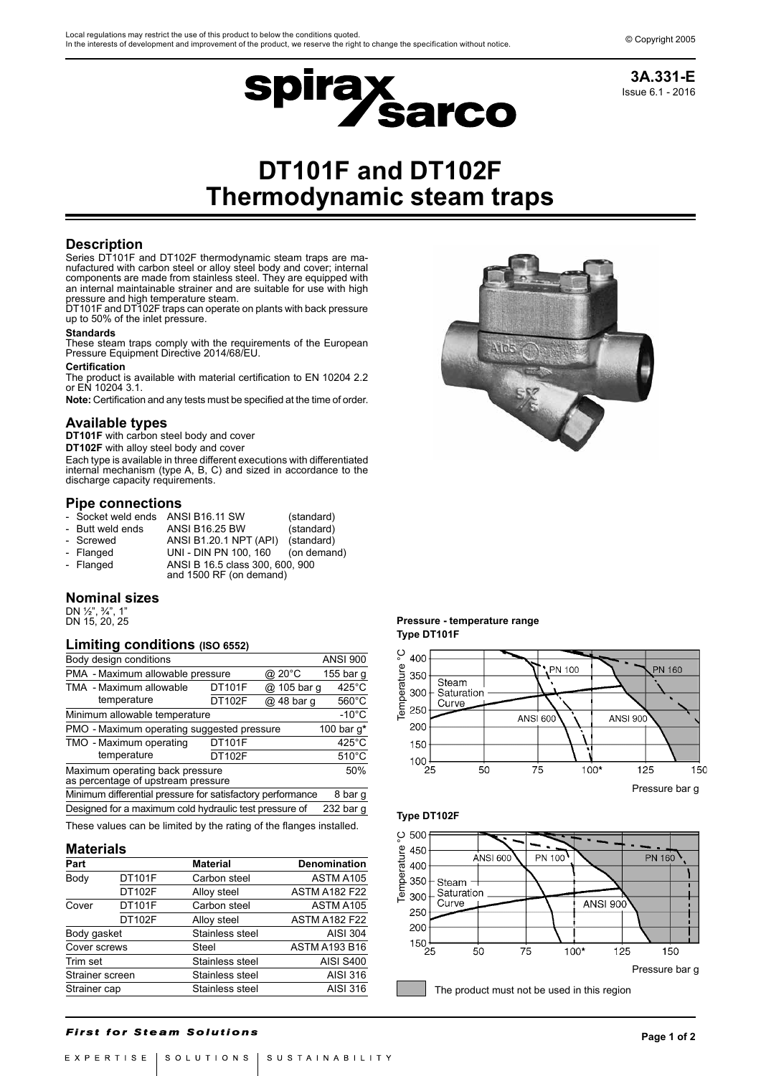

# **DT101F and DT102F Thermodynamic steam traps**

# **Description**

Series DT101F and DT102F thermodynamic steam traps are manufactured with carbon steel or alloy steel body and cover; internal components are made from stainless steel. They are equipped with an internal maintainable strainer and are suitable for use with high pressure and high temperature steam.

DT101F and DT102F traps can operate on plants with back pressure up to 50% of the inlet pressure.

#### **Standards**

These steam traps comply with the requirements of the European Pressure Equipment Directive 2014/68/EU.

#### **Certification**

The product is available with material certification to EN 10204 2.2 or EN 10204 3.1.

**Note:** Certification and any tests must be specified at the time of order.

## **Available types**

**DT101F** with carbon steel body and cover

**DT102F** with alloy steel body and cover

Each type is available in three different executions with differentiated internal mechanism (type A, B, C) and sized in accordance to the discharge capacity requirements.

## **Pipe connections**

| - Socket weld ends ANSI B16.11 SW |                                                            | (standard)  |  |  |
|-----------------------------------|------------------------------------------------------------|-------------|--|--|
| - Butt weld ends                  | <b>ANSI B16.25 BW</b>                                      | (standard)  |  |  |
| - Screwed                         | ANSI B1.20.1 NPT (API)                                     | (standard)  |  |  |
| - Flanged                         | UNI - DIN PN 100, 160                                      | (on demand) |  |  |
| - Flanged                         | ANSI B 16.5 class 300, 600, 900<br>and 1500 RF (on demand) |             |  |  |

# **Nominal sizes**

DN ½", ¾", 1" DN 15, 20, 25

## **Limiting conditions (ISO 6552)**

| Body design conditions                                                       |               |             | <b>ANSI 900</b> |  |
|------------------------------------------------------------------------------|---------------|-------------|-----------------|--|
| PMA - Maximum allowable pressure                                             |               | @ 20°C      | 155 bar q       |  |
| TMA - Maximum allowable                                                      | DT101F        | @ 105 bar q | $425^{\circ}$ C |  |
| temperature                                                                  | DT102F        | @ 48 bar g  | $560^{\circ}$ C |  |
| Minimum allowable temperature<br>$-10^{\circ}$ C                             |               |             |                 |  |
| PMO - Maximum operating suggested pressure<br>100 bar $q^*$                  |               |             |                 |  |
| TMO - Maximum operating                                                      | <b>DT101F</b> |             | $425^{\circ}$ C |  |
| temperature                                                                  | DT102F        |             | $510^{\circ}$ C |  |
| Maximum operating back pressure<br>50%<br>as percentage of upstream pressure |               |             |                 |  |
| Minimum differential pressure for satisfactory performance<br>8 bar g        |               |             |                 |  |
| Designed for a maximum cold hydraulic test pressure of<br>232 bar g          |               |             |                 |  |
| These values can be limited by the rating of the flanges installed.          |               |             |                 |  |

#### **Materials**

| Part            |        | <b>Material</b> | <b>Denomination</b>  |
|-----------------|--------|-----------------|----------------------|
| Body            | DT101F | Carbon steel    | ASTM A105            |
|                 | DT102F | Alloy steel     | <b>ASTM A182 F22</b> |
| Cover           | DT101F | Carbon steel    | ASTM A105            |
|                 | DT102F | Alloy steel     | <b>ASTM A182 F22</b> |
| Body gasket     |        | Stainless steel | <b>AISI 304</b>      |
| Cover screws    |        | Steel           | <b>ASTM A193 B16</b> |
| Trim set        |        | Stainless steel | <b>AISI S400</b>     |
| Strainer screen |        | Stainless steel | AISI 316             |
| Strainer cap    |        | Stainless steel | AISI 316             |

## **Pressure - temperature range Type DT101F**



**Type DT102F**



**First for Steam Solutions**